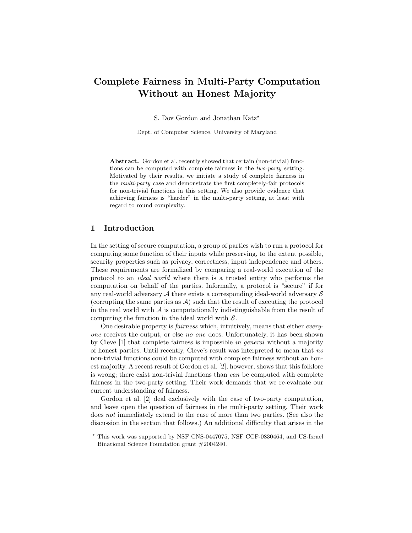# Complete Fairness in Multi-Party Computation Without an Honest Majority

S. Dov Gordon and Jonathan Katz<sup>\*</sup>

Dept. of Computer Science, University of Maryland

Abstract. Gordon et al. recently showed that certain (non-trivial) functions can be computed with complete fairness in the two-party setting. Motivated by their results, we initiate a study of complete fairness in the multi-party case and demonstrate the first completely-fair protocols for non-trivial functions in this setting. We also provide evidence that achieving fairness is "harder" in the multi-party setting, at least with regard to round complexity.

# 1 Introduction

In the setting of secure computation, a group of parties wish to run a protocol for computing some function of their inputs while preserving, to the extent possible, security properties such as privacy, correctness, input independence and others. These requirements are formalized by comparing a real-world execution of the protocol to an ideal world where there is a trusted entity who performs the computation on behalf of the parties. Informally, a protocol is "secure" if for any real-world adversary  $A$  there exists a corresponding ideal-world adversary  $S$ (corrupting the same parties as  $\mathcal{A}$ ) such that the result of executing the protocol in the real world with  $\mathcal A$  is computationally indistinguishable from the result of computing the function in the ideal world with  $S$ .

One desirable property is fairness which, intuitively, means that either everyone receives the output, or else no one does. Unfortunately, it has been shown by Cleve [1] that complete fairness is impossible in general without a majority of honest parties. Until recently, Cleve's result was interpreted to mean that no non-trivial functions could be computed with complete fairness without an honest majority. A recent result of Gordon et al. [2], however, shows that this folklore is wrong; there exist non-trivial functions than can be computed with complete fairness in the two-party setting. Their work demands that we re-evaluate our current understanding of fairness.

Gordon et al. [2] deal exclusively with the case of two-party computation, and leave open the question of fairness in the multi-party setting. Their work does *not* immediately extend to the case of more than two parties. (See also the discussion in the section that follows.) An additional difficulty that arises in the

<sup>?</sup> This work was supported by NSF CNS-0447075, NSF CCF-0830464, and US-Israel Binational Science Foundation grant #2004240.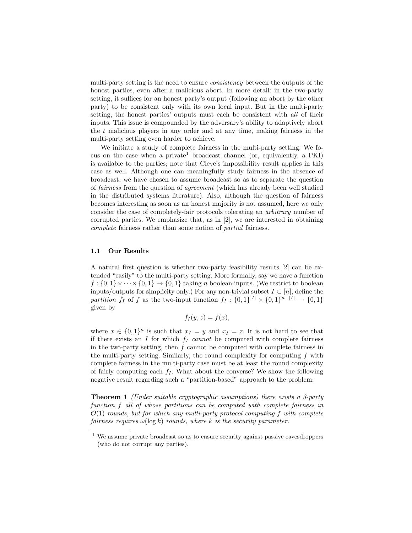multi-party setting is the need to ensure *consistency* between the outputs of the honest parties, even after a malicious abort. In more detail: in the two-party setting, it suffices for an honest party's output (following an abort by the other party) to be consistent only with its own local input. But in the multi-party setting, the honest parties' outputs must each be consistent with all of their inputs. This issue is compounded by the adversary's ability to adaptively abort the  $t$  malicious players in any order and at any time, making fairness in the multi-party setting even harder to achieve.

We initiate a study of complete fairness in the multi-party setting. We focus on the case when a private<sup>1</sup> broadcast channel (or, equivalently, a PKI) is available to the parties; note that Cleve's impossibility result applies in this case as well. Although one can meaningfully study fairness in the absence of broadcast, we have chosen to assume broadcast so as to separate the question of fairness from the question of agreement (which has already been well studied in the distributed systems literature). Also, although the question of fairness becomes interesting as soon as an honest majority is not assumed, here we only consider the case of completely-fair protocols tolerating an arbitrary number of corrupted parties. We emphasize that, as in [2], we are interested in obtaining complete fairness rather than some notion of partial fairness.

### 1.1 Our Results

A natural first question is whether two-party feasibility results [2] can be extended "easily" to the multi-party setting. More formally, say we have a function  $f: \{0,1\} \times \cdots \times \{0,1\} \rightarrow \{0,1\}$  taking n boolean inputs. (We restrict to boolean inputs/outputs for simplicity only.) For any non-trivial subset  $I \subset [n]$ , define the partition  $f_I$  of f as the two-input function  $f_I : \{0,1\}^{|I|} \times \{0,1\}^{n-|I|} \rightarrow \{0,1\}$ given by

$$
f_I(y, z) = f(x),
$$

where  $x \in \{0,1\}^n$  is such that  $x_I = y$  and  $x_{\overline{I}} = z$ . It is not hard to see that if there exists an I for which  $f_I$  cannot be computed with complete fairness in the two-party setting, then  $f$  cannot be computed with complete fairness in the multi-party setting. Similarly, the round complexity for computing  $f$  with complete fairness in the multi-party case must be at least the round complexity of fairly computing each  $f_I$ . What about the converse? We show the following negative result regarding such a "partition-based" approach to the problem:

**Theorem 1** (Under suitable cryptographic assumptions) there exists a 3-party function f all of whose partitions can be computed with complete fairness in  $\mathcal{O}(1)$  rounds, but for which any multi-party protocol computing f with complete fairness requires  $\omega(\log k)$  rounds, where k is the security parameter.

<sup>1</sup> We assume private broadcast so as to ensure security against passive eavesdroppers (who do not corrupt any parties).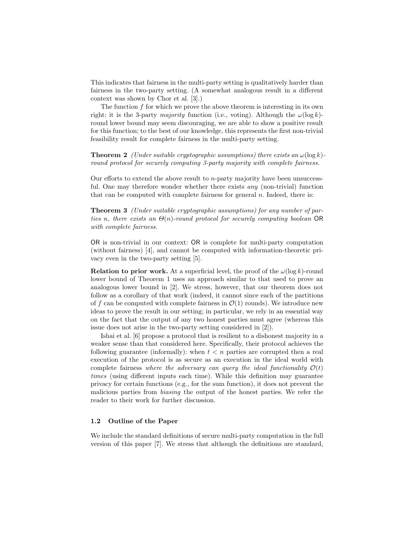This indicates that fairness in the multi-party setting is qualitatively harder than fairness in the two-party setting. (A somewhat analogous result in a different context was shown by Chor et al. [3].)

The function  $f$  for which we prove the above theorem is interesting in its own right: it is the 3-party majority function (i.e., voting). Although the  $\omega(\log k)$ round lower bound may seem discouraging, we are able to show a positive result for this function; to the best of our knowledge, this represents the first non-trivial feasibility result for complete fairness in the multi-party setting.

**Theorem 2** (Under suitable cryptographic assumptions) there exists an  $\omega(\log k)$ round protocol for securely computing 3-party majority with complete fairness.

Our efforts to extend the above result to n-party majority have been unsuccessful. One may therefore wonder whether there exists any (non-trivial) function that can be computed with complete fairness for general  $n$ . Indeed, there is:

Theorem 3 (Under suitable cryptographic assumptions) for any number of parties n, there exists an  $\Theta(n)$ -round protocol for securely computing boolean OR with complete fairness.

OR is non-trivial in our context: OR is complete for multi-party computation (without fairness) [4], and cannot be computed with information-theoretic privacy even in the two-party setting [5].

**Relation to prior work.** At a superficial level, the proof of the  $\omega(\log k)$ -round lower bound of Theorem 1 uses an approach similar to that used to prove an analogous lower bound in [2]. We stress, however, that our theorem does not follow as a corollary of that work (indeed, it cannot since each of the partitions of f can be computed with complete fairness in  $\mathcal{O}(1)$  rounds). We introduce new ideas to prove the result in our setting; in particular, we rely in an essential way on the fact that the output of any two honest parties must agree (whereas this issue does not arise in the two-party setting considered in [2]).

Ishai et al. [6] propose a protocol that is resilient to a dishonest majority in a weaker sense than that considered here. Specifically, their protocol achieves the following guarantee (informally): when  $t < n$  parties are corrupted then a real execution of the protocol is as secure as an execution in the ideal world with complete fairness where the adversary can query the ideal functionality  $\mathcal{O}(t)$ times (using different inputs each time). While this definition may guarantee privacy for certain functions (e.g., for the sum function), it does not prevent the malicious parties from biasing the output of the honest parties. We refer the reader to their work for further discussion.

# 1.2 Outline of the Paper

We include the standard definitions of secure multi-party computation in the full version of this paper [7]. We stress that although the definitions are standard,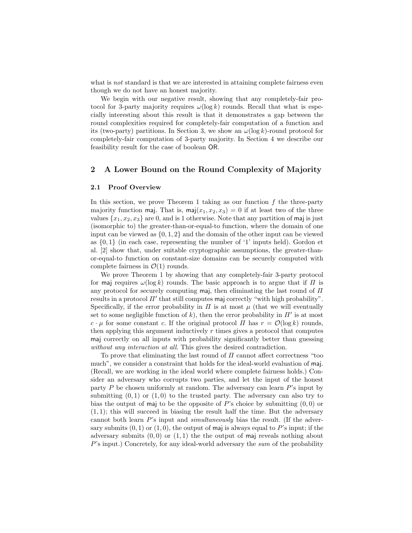what is *not* standard is that we are interested in attaining complete fairness even though we do not have an honest majority.

We begin with our negative result, showing that any completely-fair protocol for 3-party majority requires  $\omega(\log k)$  rounds. Recall that what is especially interesting about this result is that it demonstrates a gap between the round complexities required for completely-fair computation of a function and its (two-party) partitions. In Section 3, we show an  $\omega(\log k)$ -round protocol for completely-fair computation of 3-party majority. In Section 4 we describe our feasibility result for the case of boolean OR.

# 2 A Lower Bound on the Round Complexity of Majority

## 2.1 Proof Overview

In this section, we prove Theorem 1 taking as our function  $f$  the three-party majority function maj. That is, maj $(x_1, x_2, x_3) = 0$  if at least two of the three values  $\{x_1, x_2, x_3\}$  are 0, and is 1 otherwise. Note that any partition of maj is just (isomorphic to) the greater-than-or-equal-to function, where the domain of one input can be viewed as  $\{0, 1, 2\}$  and the domain of the other input can be viewed as  $\{0,1\}$  (in each case, representing the number of '1' inputs held). Gordon et al. [2] show that, under suitable cryptographic assumptions, the greater-thanor-equal-to function on constant-size domains can be securely computed with complete fairness in  $\mathcal{O}(1)$  rounds.

We prove Theorem 1 by showing that any completely-fair 3-party protocol for maj requires  $\omega(\log k)$  rounds. The basic approach is to argue that if  $\Pi$  is any protocol for securely computing maj, then eliminating the last round of  $\Pi$ results in a protocol  $\Pi'$  that still computes maj correctly "with high probability". Specifically, if the error probability in  $\Pi$  is at most  $\mu$  (that we will eventually set to some negligible function of k, then the error probability in  $\Pi'$  is at most  $c \cdot \mu$  for some constant c. If the original protocol  $\Pi$  has  $r = \mathcal{O}(\log k)$  rounds, then applying this argument inductively  $r$  times gives a protocol that computes maj correctly on all inputs with probability significantly better than guessing without any interaction at all. This gives the desired contradiction.

To prove that eliminating the last round of  $\Pi$  cannot affect correctness "too much", we consider a constraint that holds for the ideal-world evaluation of maj. (Recall, we are working in the ideal world where complete fairness holds.) Consider an adversary who corrupts two parties, and let the input of the honest party  $P$  be chosen uniformly at random. The adversary can learn  $P$ 's input by submitting  $(0, 1)$  or  $(1, 0)$  to the trusted party. The adversary can also try to bias the output of maj to be the opposite of  $P$ 's choice by submitting  $(0,0)$  or  $(1, 1)$ ; this will succeed in biasing the result half the time. But the adversary cannot both learn  $P$ 's input and *simultaneously* bias the result. (If the adversary submits  $(0, 1)$  or  $(1, 0)$ , the output of maj is always equal to P's input; if the adversary submits  $(0,0)$  or  $(1,1)$  the the output of maj reveals nothing about P's input.) Concretely, for any ideal-world adversary the sum of the probability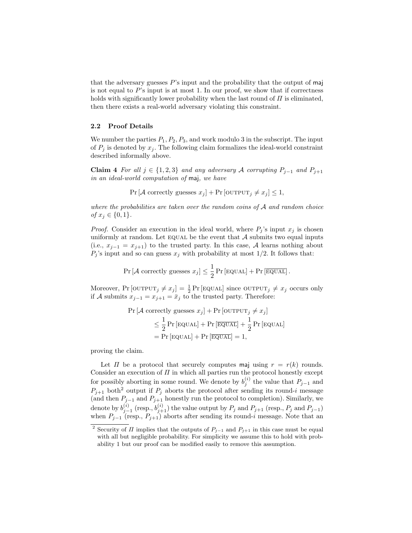that the adversary guesses  $P$ 's input and the probability that the output of maj is not equal to  $P$ 's input is at most 1. In our proof, we show that if correctness holds with significantly lower probability when the last round of  $\Pi$  is eliminated, then there exists a real-world adversary violating this constraint.

## 2.2 Proof Details

We number the parties  $P_1, P_2, P_3$ , and work modulo 3 in the subscript. The input of  $P_j$  is denoted by  $x_j$ . The following claim formalizes the ideal-world constraint described informally above.

Claim 4 For all  $j \in \{1, 2, 3\}$  and any adversary A corrupting  $P_{j-1}$  and  $P_{j+1}$ in an ideal-world computation of maj, we have

 $Pr[\mathcal{A} \text{ correctly guesses } x_j] + Pr[\text{OUTPUT}_j \neq x_j] \leq 1,$ 

where the probabilities are taken over the random coins of  $A$  and random choice of  $x_j \in \{0, 1\}.$ 

*Proof.* Consider an execution in the ideal world, where  $P_j$ 's input  $x_j$  is chosen uniformly at random. Let  $EQUAL$  be the event that  $A$  submits two equal inputs (i.e.,  $x_{i-1} = x_{i+1}$ ) to the trusted party. In this case, A learns nothing about  $P_j$ 's input and so can guess  $x_j$  with probability at most 1/2. It follows that:

$$
\Pr\left[\mathcal{A} \text{ correctly guesses } x_j\right] \leq \frac{1}{2} \Pr\left[\text{EQUAL}\right] + \Pr\left[\overline{\text{EQUAL}}\right].
$$

Moreover,  $Pr$  [OUTPUT<sub>j</sub>  $\neq x_j$ ] =  $\frac{1}{2} Pr$  [EQUAL] since OUTPUT<sub>j</sub>  $\neq x_j$  occurs only if A submits  $x_{j-1} = x_{j+1} = \overline{x}_j$  to the trusted party. Therefore:

$$
\Pr\left[\mathcal{A} \text{ correctly guesses } x_j\right] + \Pr\left[\text{OUTPUT}_j \neq x_j\right] \\
\leq \frac{1}{2} \Pr\left[\text{EQUAL}\right] + \Pr\left[\text{EQUAL}\right] + \frac{1}{2} \Pr\left[\text{EQUAL}\right] \\
= \Pr\left[\text{EQUAL}\right] + \Pr\left[\text{EQUAL}\right] = 1,
$$

proving the claim.

Let  $\Pi$  be a protocol that securely computes maj using  $r = r(k)$  rounds. Consider an execution of  $\Pi$  in which all parties run the protocol honestly except for possibly aborting in some round. We denote by  $b_j^{(i)}$  the value that  $P_{j-1}$  and  $P_{j+1}$  both<sup>2</sup> output if  $P_j$  aborts the protocol after sending its round-i message (and then  $P_{j-1}$  and  $P_{j+1}$  honestly run the protocol to completion). Similarly, we denote by  $b_{j-1}^{(i)}$  (resp.,  $b_{j+1}^{(i)}$ ) the value output by  $P_j$  and  $P_{j+1}$  (resp.,  $P_j$  and  $P_{j-1}$ ) when  $P_{j-1}$  (resp.,  $P_{j+1}$ ) aborts after sending its round-i message. Note that an

<sup>&</sup>lt;sup>2</sup> Security of  $\Pi$  implies that the outputs of  $P_{j-1}$  and  $P_{j+1}$  in this case must be equal with all but negligible probability. For simplicity we assume this to hold with probability 1 but our proof can be modified easily to remove this assumption.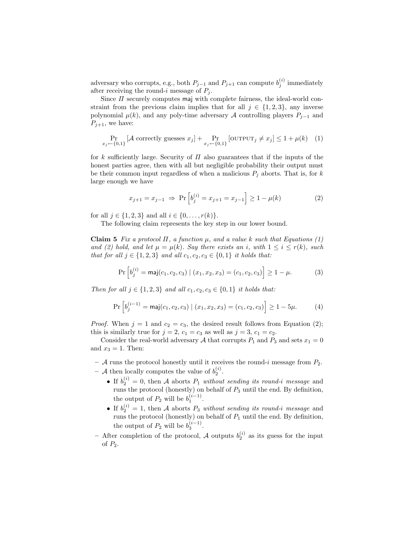adversary who corrupts, e.g., both  $P_{j-1}$  and  $P_{j+1}$  can compute  $b_j^{(i)}$  immediately after receiving the round-i message of  $P_i$ .

Since  $\Pi$  securely computes maj with complete fairness, the ideal-world constraint from the previous claim implies that for all  $j \in \{1,2,3\}$ , any inverse polynomial  $\mu(k)$ , and any poly-time adversary A controlling players  $P_{i-1}$  and  $P_{i+1}$ , we have:

$$
\Pr_{x_j \leftarrow \{0,1\}} \left[ \mathcal{A} \text{ correctly guesses } x_j \right] + \Pr_{x_j \leftarrow \{0,1\}} \left[ \text{OUTPUT}_j \neq x_j \right] \le 1 + \mu(k) \quad (1)
$$

for k sufficiently large. Security of  $\Pi$  also guarantees that if the inputs of the honest parties agree, then with all but negligible probability their output must be their common input regardless of when a malicious  $P_j$  aborts. That is, for k large enough we have

$$
x_{j+1} = x_{j-1} \implies \Pr\left[b_j^{(i)} = x_{j+1} = x_{j-1}\right] \ge 1 - \mu(k) \tag{2}
$$

for all  $j \in \{1, 2, 3\}$  and all  $i \in \{0, ..., r(k)\}.$ 

The following claim represents the key step in our lower bound.

Claim 5 Fix a protocol  $\Pi$ , a function  $\mu$ , and a value k such that Equations (1) and (2) hold, and let  $\mu = \mu(k)$ . Say there exists an i, with  $1 \leq i \leq r(k)$ , such *that for all j* ∈ {1, 2, 3} *and all*  $c_1, c_2, c_3$  ∈ {0, 1} *it holds that:* 

$$
\Pr\left[b_j^{(i)} = \text{maj}(c_1, c_2, c_3) \mid (x_1, x_2, x_3) = (c_1, c_2, c_3)\right] \ge 1 - \mu. \tag{3}
$$

Then for all  $j \in \{1, 2, 3\}$  and all  $c_1, c_2, c_3 \in \{0, 1\}$  it holds that:

$$
\Pr\left[b_j^{(i-1)} = \text{maj}(c_1, c_2, c_3) \mid (x_1, x_2, x_3) = (c_1, c_2, c_3)\right] \ge 1 - 5\mu. \tag{4}
$$

*Proof.* When  $j = 1$  and  $c_2 = c_3$ , the desired result follows from Equation (2); this is similarly true for  $j = 2$ ,  $c_1 = c_3$  as well as  $j = 3$ ,  $c_1 = c_2$ .

Consider the real-world adversary A that corrupts  $P_1$  and  $P_3$  and sets  $x_1 = 0$ and  $x_3 = 1$ . Then:

- $A$  runs the protocol honestly until it receives the round-i message from  $P_2$ .
- A then locally computes the value of  $b_2^{(i)}$ .
	- If  $b_2^{(i)} = 0$ , then A aborts  $P_1$  without sending its round-i message and runs the protocol (honestly) on behalf of  $P_3$  until the end. By definition, the output of  $P_2$  will be  $b_1^{(i-1)}$ .
	- If  $b_2^{(i)} = 1$ , then A aborts  $P_3$  without sending its round-i message and runs the protocol (honestly) on behalf of  $P_1$  until the end. By definition, the output of  $P_2$  will be  $b_3^{(i-1)}$ .
- After completion of the protocol, A outputs  $b_2^{(i)}$  as its guess for the input of  $P_2$ .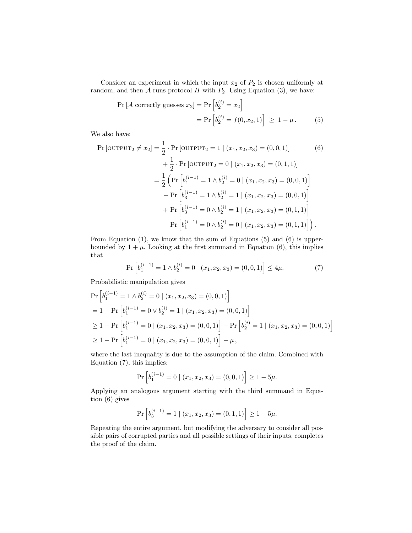Consider an experiment in which the input  $x_2$  of  $P_2$  is chosen uniformly at random, and then A runs protocol  $\Pi$  with  $P_2$ . Using Equation (3), we have:

$$
\Pr\left[\mathcal{A} \text{ correctly guesses } x_2\right] = \Pr\left[b_2^{(i)} = x_2\right] \\
= \Pr\left[b_2^{(i)} = f(0, x_2, 1)\right] \ge 1 - \mu. \tag{5}
$$

We also have:

$$
\Pr\left[\text{OUTPUT}_2 \neq x_2\right] = \frac{1}{2} \cdot \Pr\left[\text{OUTPUT}_2 = 1 \mid (x_1, x_2, x_3) = (0, 0, 1)\right] \tag{6}
$$
\n
$$
+ \frac{1}{2} \cdot \Pr\left[\text{OUTPUT}_2 = 0 \mid (x_1, x_2, x_3) = (0, 1, 1)\right]
$$
\n
$$
= \frac{1}{2} \left( \Pr\left[b_1^{(i-1)} = 1 \land b_2^{(i)} = 0 \mid (x_1, x_2, x_3) = (0, 0, 1)\right] + \Pr\left[b_3^{(i-1)} = 1 \land b_2^{(i)} = 1 \mid (x_1, x_2, x_3) = (0, 0, 1)\right] + \Pr\left[b_3^{(i-1)} = 0 \land b_2^{(i)} = 1 \mid (x_1, x_2, x_3) = (0, 1, 1)\right] + \Pr\left[b_1^{(i-1)} = 0 \land b_2^{(i)} = 0 \mid (x_1, x_2, x_3) = (0, 1, 1)\right].
$$
\n(A)

From Equation (1), we know that the sum of Equations (5) and (6) is upperbounded by  $1 + \mu$ . Looking at the first summand in Equation (6), this implies that

$$
\Pr\left[b_1^{(i-1)} = 1 \land b_2^{(i)} = 0 \mid (x_1, x_2, x_3) = (0, 0, 1)\right] \le 4\mu. \tag{7}
$$

Probabilistic manipulation gives

$$
\Pr\left[b_1^{(i-1)} = 1 \land b_2^{(i)} = 0 \mid (x_1, x_2, x_3) = (0, 0, 1)\right]
$$
  
= 1 -  $\Pr\left[b_1^{(i-1)} = 0 \lor b_2^{(i)} = 1 \mid (x_1, x_2, x_3) = (0, 0, 1)\right]$   
 $\ge 1 - \Pr\left[b_1^{(i-1)} = 0 \mid (x_1, x_2, x_3) = (0, 0, 1)\right] - \Pr\left[b_2^{(i)} = 1 \mid (x_1, x_2, x_3) = (0, 0, 1)\right]$   
 $\ge 1 - \Pr\left[b_1^{(i-1)} = 0 \mid (x_1, x_2, x_3) = (0, 0, 1)\right] - \mu,$ 

where the last inequality is due to the assumption of the claim. Combined with Equation (7), this implies:

$$
\Pr\left[b_1^{(i-1)} = 0 \mid (x_1, x_2, x_3) = (0, 0, 1)\right] \ge 1 - 5\mu.
$$

Applying an analogous argument starting with the third summand in Equation (6) gives

$$
\Pr\left[b_3^{(i-1)} = 1 \mid (x_1, x_2, x_3) = (0, 1, 1)\right] \ge 1 - 5\mu.
$$

Repeating the entire argument, but modifying the adversary to consider all possible pairs of corrupted parties and all possible settings of their inputs, completes the proof of the claim.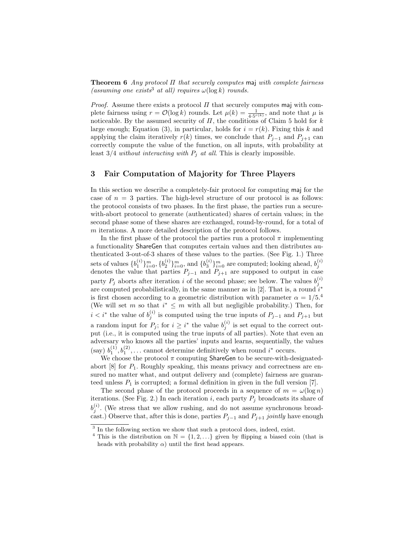**Theorem 6** Any protocol  $\Pi$  that securely computes maj with complete fairness (assuming one exists<sup>3</sup> at all) requires  $\omega(\log k)$  rounds.

*Proof.* Assume there exists a protocol  $\Pi$  that securely computes maj with complete fairness using  $r = \mathcal{O}(\log k)$  rounds. Let  $\mu(k) = \frac{1}{4 \cdot 5^{r(k)}}$ , and note that  $\mu$  is noticeable. By the assumed security of  $\Pi$ , the conditions of Claim 5 hold for  $k$ large enough; Equation (3), in particular, holds for  $i = r(k)$ . Fixing this k and applying the claim iteratively  $r(k)$  times, we conclude that  $P_{i-1}$  and  $P_{i+1}$  can correctly compute the value of the function, on all inputs, with probability at least  $3/4$  without interacting with  $P_j$  at all. This is clearly impossible.

# 3 Fair Computation of Majority for Three Players

In this section we describe a completely-fair protocol for computing maj for the case of  $n = 3$  parties. The high-level structure of our protocol is as follows: the protocol consists of two phases. In the first phase, the parties run a securewith-abort protocol to generate (authenticated) shares of certain values; in the second phase some of these shares are exchanged, round-by-round, for a total of m iterations. A more detailed description of the protocol follows.

In the first phase of the protocol the parties run a protocol  $\pi$  implementing a functionality ShareGen that computes certain values and then distributes authenticated 3-out-of-3 shares of these values to the parties. (See Fig. 1.) Three sets of values  $\{b_1^{(i)}\}_{i=0}^m$ ,  $\{b_2^{(i)}\}_{i=0}^m$ , and  $\{b_3^{(i)}\}_{i=0}^m$  are computed; looking ahead,  $b_j^{(i)}$  denotes the value that parties  $P_{j-1}$  and  $P_{j+1}$  are supposed to output in case party  $P_j$  aborts after iteration *i* of the second phase; see below. The values  $b_j^{(i)}$ are computed probabilistically, in the same manner as in [2]. That is, a round  $i^*$ is first chosen according to a geometric distribution with parameter  $\alpha = 1/5$ .<sup>4</sup> (We will set m so that  $i^* \leq m$  with all but negligible probability.) Then, for  $i < i^*$  the value of  $b_j^{(i)}$  is computed using the true inputs of  $P_{j-1}$  and  $P_{j+1}$  but a random input for  $P_j$ ; for  $i \geq i^*$  the value  $b_j^{(i)}$  is set equal to the correct output (i.e., it is computed using the true inputs of all parties). Note that even an adversary who knows all the parties' inputs and learns, sequentially, the values (say)  $b_1^{(1)}, b_1^{(2)}, \ldots$  cannot determine definitively when round  $i^*$  occurs.

We choose the protocol  $\pi$  computing ShareGen to be secure-with-designatedabort  $[8]$  for  $P_1$ . Roughly speaking, this means privacy and correctness are ensured no matter what, and output delivery and (complete) fairness are guaranteed unless  $P_1$  is corrupted; a formal definition in given in the full version [7].

The second phase of the protocol proceeds in a sequence of  $m = \omega(\log n)$ iterations. (See Fig. 2.) In each iteration i, each party  $P_j$  broadcasts its share of  $b_j^{(i)}$ . (We stress that we allow rushing, and do not assume synchronous broadcast.) Observe that, after this is done, parties  $P_{j-1}$  and  $P_{j+1}$  jointly have enough

<sup>&</sup>lt;sup>3</sup> In the following section we show that such a protocol does, indeed, exist.

<sup>&</sup>lt;sup>4</sup> This is the distribution on  $\mathbb{N} = \{1, 2, ...\}$  given by flipping a biased coin (that is heads with probability  $\alpha$ ) until the first head appears.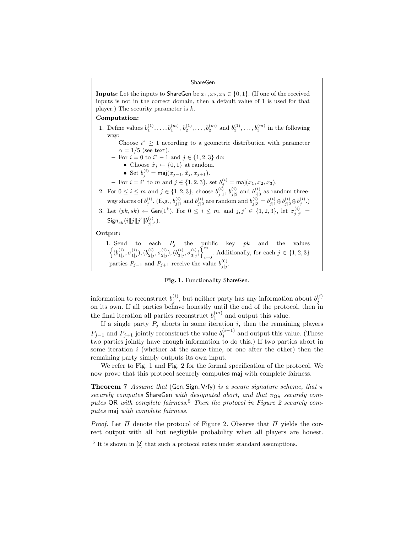### ShareGen

**Inputs:** Let the inputs to ShareGen be  $x_1, x_2, x_3 \in \{0, 1\}$ . (If one of the received inputs is not in the correct domain, then a default value of 1 is used for that player.) The security parameter is  $k$ .

#### Computation:

- 1. Define values  $b_1^{(1)}, \ldots, b_1^{(m)}, b_2^{(1)}, \ldots, b_2^{(m)}$  and  $b_3^{(1)}, \ldots, b_3^{(m)}$  in the following way:
	- $−$  Choose  $i^*$   $\geq 1$  according to a geometric distribution with parameter  $\alpha = 1/5$  (see text).
	- $-$  For  $i = 0$  to  $i^* 1$  and  $j \in \{1, 2, 3\}$  do:
		- Choose  $\hat{x}_j \leftarrow \{0, 1\}$  at random.
		- Set  $b_j^{(i)} = \text{maj}(x_{j-1}, \hat{x}_j, x_{j+1}).$
	- For  $i = i^*$  to m and  $j \in \{1, 2, 3\}$ , set  $b_j^{(i)} = \text{maj}(x_1, x_2, x_3)$ .
- 2. For  $0 \le i \le m$  and  $j \in \{1, 2, 3\}$ , choose  $b_{j|1}^{(i)}$ ,  $b_{j|2}^{(i)}$  and  $b_{j|3}^{(i)}$  as random threeway shares of  $b_j^{(i)}$ . (E.g.,  $b_{j|1}^{(i)}$  and  $b_{j|2}^{(i)}$  are random and  $b_{j|3}^{(i)} = b_{j|1}^{(i)} \oplus b_{j|2}^{(i)} \oplus b_j^{(i)}$ .)
- 3. Let  $(pk, sk) \leftarrow$  Gen(1<sup>k</sup>). For  $0 \le i \le m$ , and  $j, j' \in \{1, 2, 3\}$ , let  $\sigma_{j|j'}^{(i)} =$  ${\sf Sign}_{sk}(i\|j\|j'\|b^{(i)}_{j|j'}).$

## Output:

1. Send to each  $P_j$  the public key  $pk$  and the values  $\left\{(b_{1|j}^{(i)},\sigma_{1|j}^{(i)}), (b_{2|j}^{(i)},\sigma_{2|j}^{(i)}), (b_{3|j}^{(i)},\sigma_{3|j}^{(i)})\right\}_{i=1}^m$ . Additionally, for each  $j \in \{1, 2, 3\}$ parties  $P_{j-1}$  and  $P_{j+1}$  receive the value  $b_{j|j}^{(0)}$ .

#### Fig. 1. Functionality ShareGen.

information to reconstruct  $b_j^{(i)}$ , but neither party has any information about  $b_j^{(i)}$ on its own. If all parties behave honestly until the end of the protocol, then in the final iteration all parties reconstruct  $b_1^{(m)}$  and output this value.

If a single party  $P_j$  aborts in some iteration i, then the remaining players  $P_{j-1}$  and  $P_{j+1}$  jointly reconstruct the value  $b_j^{(i-1)}$  and output this value. (These two parties jointly have enough information to do this.) If two parties abort in some iteration  $i$  (whether at the same time, or one after the other) then the remaining party simply outputs its own input.

We refer to Fig. 1 and Fig. 2 for the formal specification of the protocol. We now prove that this protocol securely computes maj with complete fairness.

**Theorem 7** Assume that (Gen, Sign, Vrfy) is a secure signature scheme, that  $\pi$ securely computes ShareGen with designated abort, and that  $\pi_{OR}$  securely computes OR with complete fairness.<sup>5</sup> Then the protocol in Figure 2 securely computes maj with complete fairness.

*Proof.* Let  $\Pi$  denote the protocol of Figure 2. Observe that  $\Pi$  yields the correct output with all but negligible probability when all players are honest.

<sup>&</sup>lt;sup>5</sup> It is shown in [2] that such a protocol exists under standard assumptions.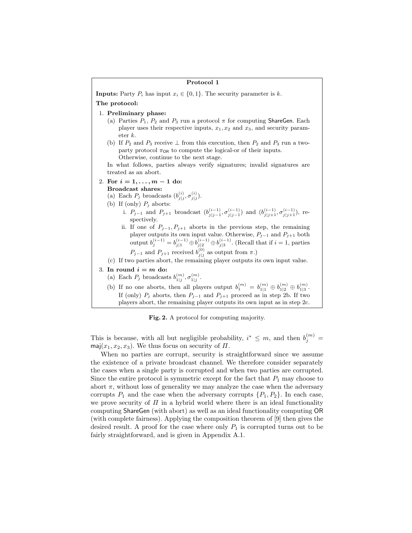| Protocol 1                                                                                                                                                                                                                                                                                                                                                                                                                                                                                                                                                                                                                                                                                                                                                           |
|----------------------------------------------------------------------------------------------------------------------------------------------------------------------------------------------------------------------------------------------------------------------------------------------------------------------------------------------------------------------------------------------------------------------------------------------------------------------------------------------------------------------------------------------------------------------------------------------------------------------------------------------------------------------------------------------------------------------------------------------------------------------|
| <b>Inputs:</b> Party $P_i$ has input $x_i \in \{0, 1\}$ . The security parameter is k.                                                                                                                                                                                                                                                                                                                                                                                                                                                                                                                                                                                                                                                                               |
| The protocol:                                                                                                                                                                                                                                                                                                                                                                                                                                                                                                                                                                                                                                                                                                                                                        |
| 1. Preliminary phase:<br>(a) Parties $P_1$ , $P_2$ and $P_3$ run a protocol $\pi$ for computing ShareGen. Each<br>player uses their respective inputs, $x_1, x_2$ and $x_3$ , and security param-<br>$\det k$ .<br>(b) If $P_2$ and $P_3$ receive $\perp$ from this execution, then $P_2$ and $P_3$ run a two-<br>party protocol $\pi_{OR}$ to compute the logical-or of their inputs.<br>Otherwise, continue to the next stage.<br>In what follows, parties always verify signatures; invalid signatures are<br>treated as an abort.                                                                                                                                                                                                                                |
| 2. For $i = 1, , m - 1$ do:<br>Broadcast shares:<br>(a) Each $P_j$ broadcasts $(b_{j i}^{(i)}, \sigma_{j i}^{(i)})$ .<br>(b) If (only) $P_i$ aborts:<br>i. $P_{j-1}$ and $P_{j+1}$ broadcast $(b_{j j-1}^{(i-1)}, \sigma_{j j-1}^{(i-1)})$ and $(b_{j j+1}^{(i-1)}, \sigma_{j j+1}^{(i-1)})$ , re-<br>spectively.<br>ii. If one of $P_{j-1}, P_{j+1}$ aborts in the previous step, the remaining<br>player outputs its own input value. Otherwise, $P_{j-1}$ and $P_{j+1}$ both<br>output $b_j^{(i-1)} = b_{j 1}^{(i-1)} \oplus b_{j 2}^{(i-1)} \oplus b_{j 3}^{(i-1)}$ . (Recall that if $i = 1$ , parties<br>$P_{j-1}$ and $P_{j+1}$ received $b_{j}^{(0)}$ as output from $\pi$ .)<br>(c) If two parties abort, the remaining player outputs its own input value. |
| 3. In round $i = m$ do:<br>(a) Each $P_j$ broadcasts $b_{1 i}^{(m)}, \sigma_{1 i}^{(m)}$ .<br>(b) If no one aborts, then all players output $b_1^{(m)} = b_{1 1}^{(m)} \oplus b_{1 2}^{(m)} \oplus b_{1 3}^{(m)}$ .<br>If (only) $P_j$ aborts, then $P_{j-1}$ and $P_{j+1}$ proceed as in step 2b. If two<br>players abort, the remaining player outputs its own input as in step 2c.                                                                                                                                                                                                                                                                                                                                                                                |

Fig. 2. A protocol for computing majority.

This is because, with all but negligible probability,  $i^* \leq m$ , and then  $b_j^{(m)} =$ maj $(x_1, x_2, x_3)$ . We thus focus on security of  $\Pi$ .

When no parties are corrupt, security is straightforward since we assume the existence of a private broadcast channel. We therefore consider separately the cases when a single party is corrupted and when two parties are corrupted. Since the entire protocol is symmetric except for the fact that  $P_1$  may choose to abort  $\pi$ , without loss of generality we may analyze the case when the adversary corrupts  $P_1$  and the case when the adversary corrupts  $\{P_1, P_2\}$ . In each case, we prove security of  $\Pi$  in a hybrid world where there is an ideal functionality computing ShareGen (with abort) as well as an ideal functionality computing OR (with complete fairness). Applying the composition theorem of [9] then gives the desired result. A proof for the case where only  $P_1$  is corrupted turns out to be fairly straightforward, and is given in Appendix A.1.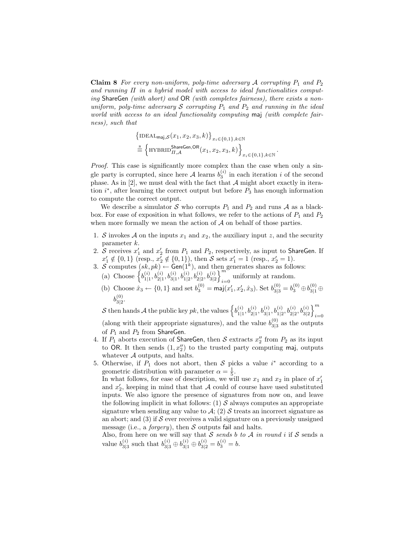**Claim 8** For every non-uniform, poly-time adversary  $\mathcal A$  corrupting  $P_1$  and  $P_2$ and running  $\Pi$  in a hybrid model with access to ideal functionalities computing ShareGen (with abort) and OR (with completes fairness), there exists a nonuniform, poly-time adversary  $S$  corrupting  $P_1$  and  $P_2$  and running in the ideal world with access to an ideal functionality computing maj (with complete fairness), such that

$$
\begin{aligned} &\left\{ {{\rm IDEAL}_{\text{maj},\mathcal{S}}(x_1,x_2,x_3,k)} \right\}_{x_i \in \left\{0,1\right\},k \in \mathbb{N}} \\ &\overset{\rm s}{=}\left\{ {{\rm HYBRID}_{H,\mathcal{A}}^{\text{ShareGen,OR}}(x_1,x_2,x_3,k)} \right\}_{x_i \in \left\{0,1\right\},k \in \mathbb{N}} \end{aligned}
$$

.

Proof. This case is significantly more complex than the case when only a single party is corrupted, since here  $A$  learns  $b_3^{(i)}$  in each iteration i of the second phase. As in  $[2]$ , we must deal with the fact that  $A$  might abort exactly in iteration  $i^*$ , after learning the correct output but before  $P_3$  has enough information to compute the correct output.

We describe a simulator  $S$  who corrupts  $P_1$  and  $P_2$  and runs  $A$  as a blackbox. For ease of exposition in what follows, we refer to the actions of  $P_1$  and  $P_2$ when more formally we mean the action of  $A$  on behalf of those parties.

- 1. S invokes A on the inputs  $x_1$  and  $x_2$ , the auxiliary input z, and the security parameter k.
- 2. S receives  $x'_1$  and  $x'_2$  from  $P_1$  and  $P_2$ , respectively, as input to ShareGen. If  $x'_1 \notin \{0,1\}$  (resp.,  $x'_2 \notin \{0,1\}$ ), then S sets  $x'_1 = 1$  (resp.,  $x'_2 = 1$ ).
- 3. S computes  $(sk, pk) \leftarrow$  Gen(1<sup>k</sup>), and then generates shares as follows: (a) Choose  $\{b_{111}^{(i)}\}$  $\frac{(i)}{1|1}, b_{2|1}^{(i)}, b_{3|1}^{(i)}, b_{1|2}^{(i)}, b_{2|2}^{(i)}, b_{3|2}^{(i)}\}$  $\sum_{i=0}$  uniformly at random.
	- (b) Choose  $\hat{x}_3 \leftarrow \{0, 1\}$  and set  $b_3^{(0)} = \text{maj}(x'_1, x'_2, \hat{x}_3)$ . Set  $b_{3|3}^{(0)} = b_3^{(0)} \oplus b_{3|1}^{(0)} \oplus b_{3|2}^{(0)}$  $b_{312}^{(0)}$ 3|2 .

S then hands A the public key pk, the values  $\left\{b_{11}^{(i)}\right\}$  $\left\{\begin{matrix} i\0\1|1},b_{2|1}^{(i)},b_{3|1}^{(i)},b_{1|2}^{(i)},b_{2|2}^{(i)},b_{3|2}^{(i)}\end{matrix}\right\}_{i=1}^m$  $i=0$ 

(along with their appropriate signatures), and the value  $b_{313}^{(0)}$  $\frac{10}{3|3}$  as the outputs of  $P_1$  and  $P_2$  from ShareGen.

- 4. If  $P_1$  aborts execution of ShareGen, then  $\mathcal S$  extracts  $x_2''$  from  $P_2$  as its input to OR. It then sends  $(1, x_2'')$  to the trusted party computing maj, outputs whatever  $A$  outputs, and halts.
- 5. Otherwise, if  $P_1$  does not abort, then S picks a value  $i^*$  according to a geometric distribution with parameter  $\alpha = \frac{1}{5}$ .

In what follows, for ease of description, we will use  $x_1$  and  $x_2$  in place of  $x_1'$ and  $x_2'$ , keeping in mind that that A could of course have used substituted inputs. We also ignore the presence of signatures from now on, and leave the following implicit in what follows: (1)  $\mathcal S$  always computes an appropriate signature when sending any value to  $A$ ; (2) S treats an incorrect signature as an abort; and  $(3)$  if S ever receives a valid signature on a previously unsigned message (i.e., a *forgery*), then  $S$  outputs fail and halts.

Also, from here on we will say that S sends b to A in round i if S sends a value  $b_{3|5}^{(i)}$  $s_{3|3}^{(i)}$  such that  $b_{3|3}^{(i)} \oplus b_{3|1}^{(i)} \oplus b_{3|2}^{(i)} = b_3^{(i)} = b.$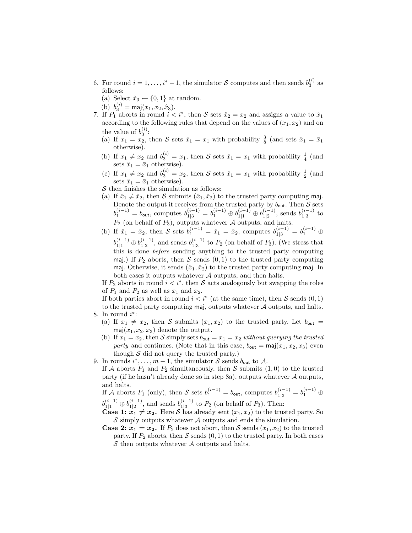- 6. For round  $i = 1, ..., i^* 1$ , the simulator S computes and then sends  $b_3^{(i)}$  as follows:
	- (a) Select  $\hat{x}_3 \leftarrow \{0, 1\}$  at random.
	- (b)  $b_3^{(i)} = \text{maj}(x_1, x_2, \hat{x}_3).$
- 7. If  $P_1$  aborts in round  $i < i^*$ , then S sets  $\hat{x}_2 = x_2$  and assigns a value to  $\hat{x}_1$ according to the following rules that depend on the values of  $(x_1, x_2)$  and on the value of  $b_3^{(i)}$ :
	- (a) If  $x_1 = x_2$ , then S sets  $\hat{x}_1 = x_1$  with probability  $\frac{3}{8}$  (and sets  $\hat{x}_1 = \bar{x}_1$ otherwise).
	- (b) If  $x_1 \neq x_2$  and  $b_3^{(i)} = x_1$ , then S sets  $\hat{x}_1 = x_1$  with probability  $\frac{1}{4}$  (and sets  $\hat{x}_1 = \bar{x}_1$  otherwise).
	- (c) If  $x_1 \neq x_2$  and  $b_3^{(i)} = x_2$ , then S sets  $\hat{x}_1 = x_1$  with probability  $\frac{1}{2}$  (and sets  $\hat{x}_1 = \bar{x}_1$  otherwise).
	- $\mathcal S$  then finishes the simulation as follows:
	- (a) If  $\hat{x}_1 \neq \hat{x}_2$ , then S submits  $(\hat{x}_1, \hat{x}_2)$  to the trusted party computing maj. Denote the output it receives from the trusted party by  $b_{\text{out}}$ . Then  $S$  sets  $b_1^{(i-1)} = b_{\text{out}}$ , computes  $b_{1|3}^{(i-1)} = b_1^{(i-1)} \oplus b_{1|1}^{(i-1)} \oplus b_{1|2}^{(i-1)}$  $\frac{(i-1)}{1|2}$ , sends  $b_{1|3}^{(i-1)}$  $\frac{(i-1)}{1|3}$  to  $P_2$  (on behalf of  $P_3$ ), outputs whatever  $\mathcal A$  outputs, and halts.
	- (b) If  $\hat{x}_1 = \hat{x}_2$ , then S sets  $b_1^{(i-1)} = \hat{x}_1 = \hat{x}_2$ , computes  $b_{1|3}^{(i-1)} = b_1^{(i-1)} \oplus$  $b_{1|1}^{(i-1)}\oplus b_{1|2}^{(i-1)}$  $\frac{(i-1)}{1|2}$ , and sends  $b_{1|3}^{(i-1)}$  $\frac{(i-1)}{1|3}$  to  $P_2$  (on behalf of  $P_3$ ). (We stress that this is done before sending anything to the trusted party computing maj.) If  $P_2$  aborts, then S sends  $(0, 1)$  to the trusted party computing maj. Otherwise, it sends  $(\hat{x}_1, \hat{x}_2)$  to the trusted party computing maj. In both cases it outputs whatever A outputs, and then halts.

If  $P_2$  aborts in round  $i < i^*$ , then S acts analogously but swapping the roles of  $P_1$  and  $P_2$  as well as  $x_1$  and  $x_2$ .

If both parties abort in round  $i < i^*$  (at the same time), then S sends  $(0, 1)$ to the trusted party computing maj, outputs whatever  $A$  outputs, and halts. 8. In round  $i^*$ :

- (a) If  $x_1 \neq x_2$ , then S submits  $(x_1, x_2)$  to the trusted party. Let  $b_{\text{out}} =$  $maj(x_1, x_2, x_3)$  denote the output.
- (b) If  $x_1 = x_2$ , then S simply sets  $b_{\text{out}} = x_1 = x_2$  without querying the trusted party and continues. (Note that in this case,  $b_{\text{out}} = \text{maj}(x_1, x_2, x_3)$  even though  $S$  did not query the trusted party.)
- 9. In rounds  $i^*, \ldots, m-1$ , the simulator  $S$  sends  $b_{\text{out}}$  to  $A$ . If A aborts  $P_1$  and  $P_2$  simultaneously, then S submits  $(1,0)$  to the trusted party (if he hasn't already done so in step 8a), outputs whatever A outputs, and halts.

If A aborts  $P_1$  (only), then S sets  $b_1^{(i-1)} = b_{\text{out}}$ , computes  $b_{1|3}^{(i-1)} = b_1^{(i-1)} \oplus$  $b_{1|1}^{(i-1)}\oplus b_{1|2}^{(i-1)}$  $\frac{(i-1)}{1|2}$ , and sends  $b_{1|3}^{(i-1)}$  $\frac{(i-1)}{1|3}$  to  $P_2$  (on behalf of  $P_3$ ). Then:

- **Case 1:**  $x_1 \neq x_2$ . Here S has already sent  $(x_1, x_2)$  to the trusted party. So  $S$  simply outputs whatever  $A$  outputs and ends the simulation.
- **Case 2:**  $x_1 = x_2$ . If  $P_2$  does not abort, then S sends  $(x_1, x_2)$  to the trusted party. If  $P_2$  aborts, then S sends  $(0, 1)$  to the trusted party. In both cases  $S$  then outputs whatever  $A$  outputs and halts.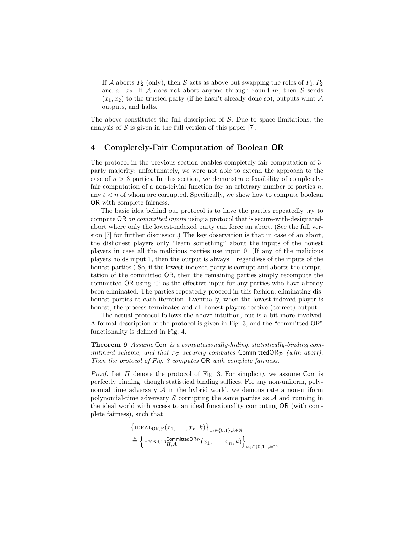If A aborts  $P_2$  (only), then S acts as above but swapping the roles of  $P_1, P_2$ and  $x_1, x_2$ . If A does not abort anyone through round m, then S sends  $(x_1, x_2)$  to the trusted party (if he hasn't already done so), outputs what A outputs, and halts.

The above constitutes the full description of  $S$ . Due to space limitations, the analysis of  $S$  is given in the full version of this paper [7].

# 4 Completely-Fair Computation of Boolean OR

The protocol in the previous section enables completely-fair computation of 3 party majority; unfortunately, we were not able to extend the approach to the case of  $n > 3$  parties. In this section, we demonstrate feasibility of completelyfair computation of a non-trivial function for an arbitrary number of parties  $n$ , any  $t < n$  of whom are corrupted. Specifically, we show how to compute boolean OR with complete fairness.

The basic idea behind our protocol is to have the parties repeatedly try to compute OR on committed inputs using a protocol that is secure-with-designatedabort where only the lowest-indexed party can force an abort. (See the full version [7] for further discussion.) The key observation is that in case of an abort, the dishonest players only "learn something" about the inputs of the honest players in case all the malicious parties use input 0. (If any of the malicious players holds input 1, then the output is always 1 regardless of the inputs of the honest parties.) So, if the lowest-indexed party is corrupt and aborts the computation of the committed OR, then the remaining parties simply recompute the committed OR using '0' as the effective input for any parties who have already been eliminated. The parties repeatedly proceed in this fashion, eliminating dishonest parties at each iteration. Eventually, when the lowest-indexed player is honest, the process terminates and all honest players receive (correct) output.

The actual protocol follows the above intuition, but is a bit more involved. A formal description of the protocol is given in Fig. 3, and the "committed OR" functionality is defined in Fig. 4.

Theorem 9 Assume Com is a computationally-hiding, statistically-binding commitment scheme, and that  $\pi_P$  securely computes CommittedOR<sub>P</sub> (with abort). Then the protocol of Fig. 3 computes OR with complete fairness.

*Proof.* Let  $\Pi$  denote the protocol of Fig. 3. For simplicity we assume Com is perfectly binding, though statistical binding suffices. For any non-uniform, polynomial time adversary  $A$  in the hybrid world, we demonstrate a non-uniform polynomial-time adversary S corrupting the same parties as  $A$  and running in the ideal world with access to an ideal functionality computing OR (with complete fairness), such that

$$
\left\{\text{IDEAL}_{\mathsf{OR},\mathcal{S}}(x_1,\ldots,x_n,k)\right\}_{x_i\in\{0,1\},k\in\mathbb{N}}
$$

$$
\stackrel{c}{\equiv}\left\{\text{HYBRID}_{\Pi,\mathcal{A}}^{\text{CommittedOR}_{\mathcal{P}}}(x_1,\ldots,x_n,k)\right\}_{x_i\in\{0,1\},k\in\mathbb{N}}.
$$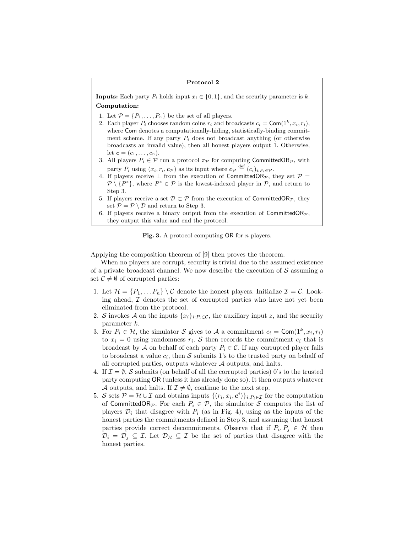## Protocol 2

**Inputs:** Each party  $P_i$  holds input  $x_i \in \{0, 1\}$ , and the security parameter is k. Computation:

- 1. Let  $\mathcal{P} = \{P_1, \ldots, P_n\}$  be the set of all players.
- 2. Each player  $P_i$  chooses random coins  $r_i$  and broadcasts  $c_i = \textsf{Com}(1^k, x_i, r_i)$ , where Com denotes a computationally-hiding, statistically-binding commitment scheme. If any party  $P_i$  does not broadcast anything (or otherwise broadcasts an invalid value), then all honest players output 1. Otherwise, let  $c = (c_1, ..., c_n)$ .
- 3. All players  $P_i \in \mathcal{P}$  run a protocol  $\pi_{\mathcal{P}}$  for computing CommittedOR<sub>P</sub>, with party  $P_i$  using  $(x_i, r_i, c_{\mathcal{P}})$  as its input where  $c_{\mathcal{P}} \stackrel{\text{def}}{=} (c_i)_{i:P_i \in \mathcal{P}}$ .
- 4. If players receive  $\perp$  from the execution of CommittedOR<sub>P</sub>, they set  $\mathcal{P} =$  $\mathcal{P} \setminus \{P^*\},\$  where  $P^* \in \mathcal{P}$  is the lowest-indexed player in  $\mathcal{P},\$ and return to Step 3.
- 5. If players receive a set  $\mathcal{D} \subset \mathcal{P}$  from the execution of CommittedOR<sub>P</sub>, they set  $\mathcal{P} = \mathcal{P} \setminus \mathcal{D}$  and return to Step 3.
- 6. If players receive a binary output from the execution of CommittedOR<sub>P</sub>, they output this value and end the protocol.

Fig. 3. A protocol computing  $OR$  for *n* players.

Applying the composition theorem of [9] then proves the theorem.

When no players are corrupt, security is trivial due to the assumed existence of a private broadcast channel. We now describe the execution of  $S$  assuming a set  $\mathcal{C} \neq \emptyset$  of corrupted parties:

- 1. Let  $\mathcal{H} = \{P_1, \ldots P_n\} \setminus \mathcal{C}$  denote the honest players. Initialize  $\mathcal{I} = \mathcal{C}$ . Looking ahead,  $I$  denotes the set of corrupted parties who have not yet been eliminated from the protocol.
- 2. S invokes A on the inputs  $\{x_i\}_{i:P_i\in\mathcal{C}}$ , the auxiliary input z, and the security parameter k.
- 3. For  $P_i \in \mathcal{H}$ , the simulator S gives to A a commitment  $c_i = \textsf{Com}(1^k, x_i, r_i)$ to  $x_i = 0$  using randomness  $r_i$ . S then records the commitment  $c_i$  that is broadcast by A on behalf of each party  $P_i \in \mathcal{C}$ . If any corrupted player fails to broadcast a value  $c_i$ , then S submits 1's to the trusted party on behalf of all corrupted parties, outputs whatever  $A$  outputs, and halts.
- 4. If  $\mathcal{I} = \emptyset$ , S submits (on behalf of all the corrupted parties) 0's to the trusted party computing OR (unless it has already done so). It then outputs whatever A outputs, and halts. If  $\mathcal{I} \neq \emptyset$ , continue to the next step.
- 5. S sets  $P = \mathcal{H} \cup \mathcal{I}$  and obtains inputs  $\{(r_i, x_i, \mathbf{c}^i)\}_{i:P_i \in \mathcal{I}}$  for the computation of CommittedOR<sub>P</sub>. For each  $P_i \in \mathcal{P}$ , the simulator S computes the list of players  $\mathcal{D}_i$  that disagree with  $P_i$  (as in Fig. 4), using as the inputs of the honest parties the commitments defined in Step 3, and assuming that honest parties provide correct decommitments. Observe that if  $P_i, P_j \in \mathcal{H}$  then  $\mathcal{D}_i = \mathcal{D}_j \subseteq \mathcal{I}$ . Let  $\mathcal{D}_{\mathcal{H}} \subseteq \mathcal{I}$  be the set of parties that disagree with the honest parties.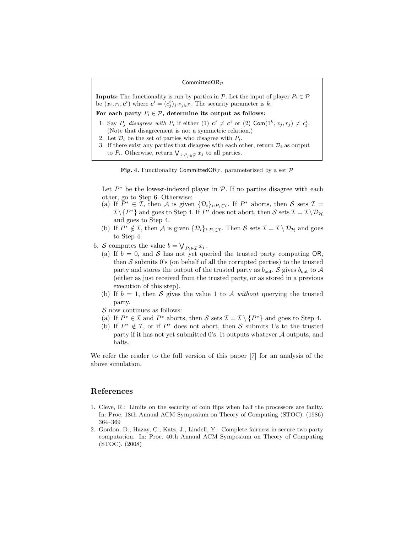## CommittedOR $p$

**Inputs:** The functionality is run by parties in  $\mathcal{P}$ . Let the input of player  $P_i \in \mathcal{P}$ be  $(x_i, r_i, c^i)$  where  $c^i = (c^i_j)_{j:P_j \in \mathcal{P}}$ . The security parameter is k.

# For each party  $P_i \in \mathcal{P}$ , determine its output as follows:

- 1. Say  $P_j$  disagrees with  $P_i$  if either (1)  $c^j \neq c^i$  or (2)  $\textsf{Com}(1^k, x_j, r_j) \neq c^i_j$ . (Note that disagreement is not a symmetric relation.)
- 2. Let  $\mathcal{D}_i$  be the set of parties who disagree with  $P_i$ .
- 3. If there exist any parties that disagree with each other, return  $\mathcal{D}_i$  as output to  $P_i$ . Otherwise, return  $\bigvee_{j:P_j\in\mathcal{P}} x_j$  to all parties.



Let  $P^*$  be the lowest-indexed player in  $\mathcal{P}$ . If no parties disagree with each other, go to Step 6. Otherwise:

- (a) If  $\tilde{P}^* \in \mathcal{I}$ , then A is given  $\{\mathcal{D}_i\}_{i:P_i \in \mathcal{I}}$ . If  $P^*$  aborts, then S sets  $\mathcal{I} =$  $\mathcal{I}\setminus\{P^*\}$  and goes to Step 4. If  $P^*$  does not abort, then  $\mathcal{S}$  sets  $\mathcal{I}=\mathcal{I}\setminus\mathcal{D}_{\mathcal{H}}$ and goes to Step 4.
- (b) If  $P^* \notin \mathcal{I}$ , then A is given  $\{\mathcal{D}_i\}_{i:P_i \in \mathcal{I}}$ . Then S sets  $\mathcal{I} = \mathcal{I} \setminus \mathcal{D}_{\mathcal{H}}$  and goes to Step 4.
- 6. S computes the value  $b = \bigvee_{P_i \in \mathcal{I}} x_i$ .
	- (a) If  $b = 0$ , and S has not yet queried the trusted party computing OR, then  $S$  submits 0's (on behalf of all the corrupted parties) to the trusted party and stores the output of the trusted party as  $b_{\text{out}}$ . S gives  $b_{\text{out}}$  to A (either as just received from the trusted party, or as stored in a previous execution of this step).
	- (b) If  $b = 1$ , then S gives the value 1 to A without querying the trusted party.

 $\mathcal S$  now continues as follows:

- (a) If  $P^* \in \mathcal{I}$  and  $P^*$  aborts, then S sets  $\mathcal{I} = \mathcal{I} \setminus \{P^*\}$  and goes to Step 4.
- (b) If  $P^* \notin \mathcal{I}$ , or if  $P^*$  does not abort, then S submits 1's to the trusted party if it has not yet submitted 0's. It outputs whatever  $A$  outputs, and halts.

We refer the reader to the full version of this paper [7] for an analysis of the above simulation.

# References

- 1. Cleve, R.: Limits on the security of coin flips when half the processors are faulty. In: Proc. 18th Annual ACM Symposium on Theory of Computing (STOC). (1986) 364–369
- 2. Gordon, D., Hazay, C., Katz, J., Lindell, Y.: Complete fairness in secure two-party computation. In: Proc. 40th Annual ACM Symposium on Theory of Computing (STOC). (2008)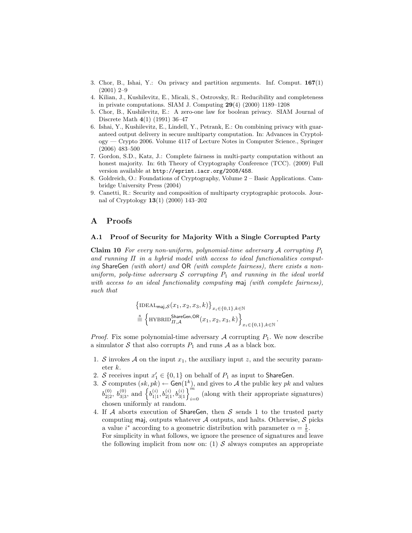- 3. Chor, B., Ishai, Y.: On privacy and partition arguments. Inf. Comput. 167(1) (2001) 2–9
- 4. Kilian, J., Kushilevitz, E., Micali, S., Ostrovsky, R.: Reducibility and completeness in private computations. SIAM J. Computing 29(4) (2000) 1189–1208
- 5. Chor, B., Kushilevitz, E.: A zero-one law for boolean privacy. SIAM Journal of Discrete Math 4(1) (1991) 36–47
- 6. Ishai, Y., Kushilevitz, E., Lindell, Y., Petrank, E.: On combining privacy with guaranteed output delivery in secure multiparty computation. In: Advances in Cryptology — Crypto 2006. Volume 4117 of Lecture Notes in Computer Science., Springer (2006) 483–500
- 7. Gordon, S.D., Katz, J.: Complete fairness in multi-party computation without an honest majority. In: 6th Theory of Cryptography Conference (TCC). (2009) Full version available at http://eprint.iacr.org/2008/458.
- 8. Goldreich, O.: Foundations of Cryptography, Volume 2 Basic Applications. Cambridge University Press (2004)
- 9. Canetti, R.: Security and composition of multiparty cryptographic protocols. Journal of Cryptology 13(1) (2000) 143–202

## A Proofs

## A.1 Proof of Security for Majority With a Single Corrupted Party

**Claim 10** For every non-uniform, polynomial-time adversary A corrupting  $P_1$ and running  $\Pi$  in a hybrid model with access to ideal functionalities computing ShareGen (with abort) and OR (with complete fairness), there exists a nonuniform, poly-time adversary  $S$  corrupting  $P_1$  and running in the ideal world with access to an ideal functionality computing maj (with complete fairness), such that

$$
\begin{aligned} &\left\{ \text{IDEAL}_{\text{maj},\mathcal{S}}(x_1,x_2,x_3,k) \right\}_{x_i \in \{0,1\}, k \in \mathbb{N}} \\ &\overset{\rm s}{=} \left\{ \text{HYBRID}_{H,\mathcal{A}}^{\text{ShareGen,OR}}(x_1,x_2,x_3,k) \right\}_{x_i \in \{0,1\}, k \in \mathbb{N}} \end{aligned}
$$

.

*Proof.* Fix some polynomial-time adversary  $A$  corrupting  $P_1$ . We now describe a simulator S that also corrupts  $P_1$  and runs A as a black box.

- 1. S invokes A on the input  $x_1$ , the auxiliary input z, and the security parameter k.
- 2. S receives input  $x'_1 \in \{0,1\}$  on behalf of  $P_1$  as input to ShareGen.
- 3. S computes  $(sk, pk) \leftarrow$  Gen(1<sup>k</sup>), and gives to A the public key pk and values  $b_{2|2}^{(0)}$  $\stackrel{(0)}{_{2|2}},\stackrel{(0)}{b_{3|3}^{(0)}}$  $\binom{0}{3|3}$ , and  $\left\{b_{1|1}^{(i)}\right\}$  $\left\{\begin{matrix} (i)\,,\,b_{2|1}^{(i)},b_{3|1}^{(i)} \end{matrix}\right\}_{i=1}^{m}$ (along with their appropriate signatures) chosen uniformly at random.
- 4. If A aborts execution of ShareGen, then S sends 1 to the trusted party computing maj, outputs whatever  $A$  outputs, and halts. Otherwise,  $S$  picks a value  $i^*$  according to a geometric distribution with parameter  $\alpha = \frac{1}{5}$ . For simplicity in what follows, we ignore the presence of signatures and leave the following implicit from now on: (1)  $\mathcal S$  always computes an appropriate